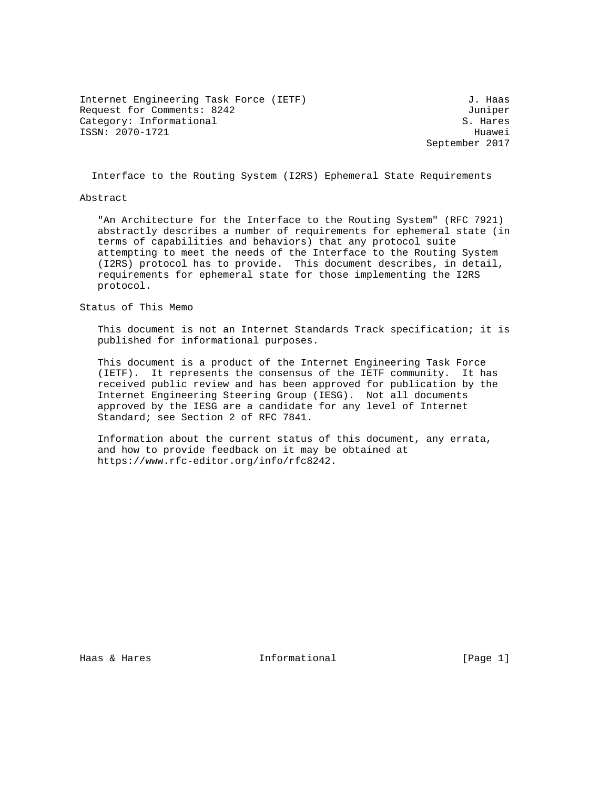Internet Engineering Task Force (IETF) 3. Haas Request for Comments: 8242 Juniper<br>Category: Informational Galendary S. Hares Category: Informational ISSN: 2070-1721 Huawei

September 2017

Interface to the Routing System (I2RS) Ephemeral State Requirements

#### Abstract

 "An Architecture for the Interface to the Routing System" (RFC 7921) abstractly describes a number of requirements for ephemeral state (in terms of capabilities and behaviors) that any protocol suite attempting to meet the needs of the Interface to the Routing System (I2RS) protocol has to provide. This document describes, in detail, requirements for ephemeral state for those implementing the I2RS protocol.

#### Status of This Memo

 This document is not an Internet Standards Track specification; it is published for informational purposes.

 This document is a product of the Internet Engineering Task Force (IETF). It represents the consensus of the IETF community. It has received public review and has been approved for publication by the Internet Engineering Steering Group (IESG). Not all documents approved by the IESG are a candidate for any level of Internet Standard; see Section 2 of RFC 7841.

 Information about the current status of this document, any errata, and how to provide feedback on it may be obtained at https://www.rfc-editor.org/info/rfc8242.

Haas & Hares Thermational Fage 11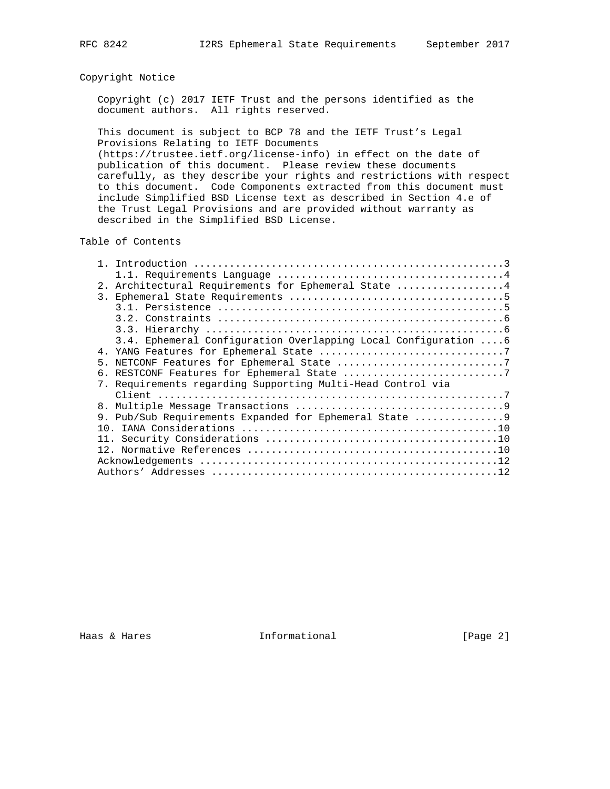# Copyright Notice

 Copyright (c) 2017 IETF Trust and the persons identified as the document authors. All rights reserved.

 This document is subject to BCP 78 and the IETF Trust's Legal Provisions Relating to IETF Documents

 (https://trustee.ietf.org/license-info) in effect on the date of publication of this document. Please review these documents carefully, as they describe your rights and restrictions with respect to this document. Code Components extracted from this document must include Simplified BSD License text as described in Section 4.e of the Trust Legal Provisions and are provided without warranty as described in the Simplified BSD License.

### Table of Contents

|    | 2. Architectural Requirements for Ephemeral State 4            |
|----|----------------------------------------------------------------|
|    |                                                                |
|    |                                                                |
|    |                                                                |
|    |                                                                |
|    | 3.4. Ephemeral Configuration Overlapping Local Configuration 6 |
|    |                                                                |
| 5. |                                                                |
|    |                                                                |
|    | 7. Requirements regarding Supporting Multi-Head Control via    |
|    |                                                                |
|    |                                                                |
|    | 9. Pub/Sub Requirements Expanded for Ephemeral State 9         |
|    |                                                                |
|    |                                                                |
|    |                                                                |
|    |                                                                |
|    |                                                                |

Haas & Hares **Informational** [Page 2]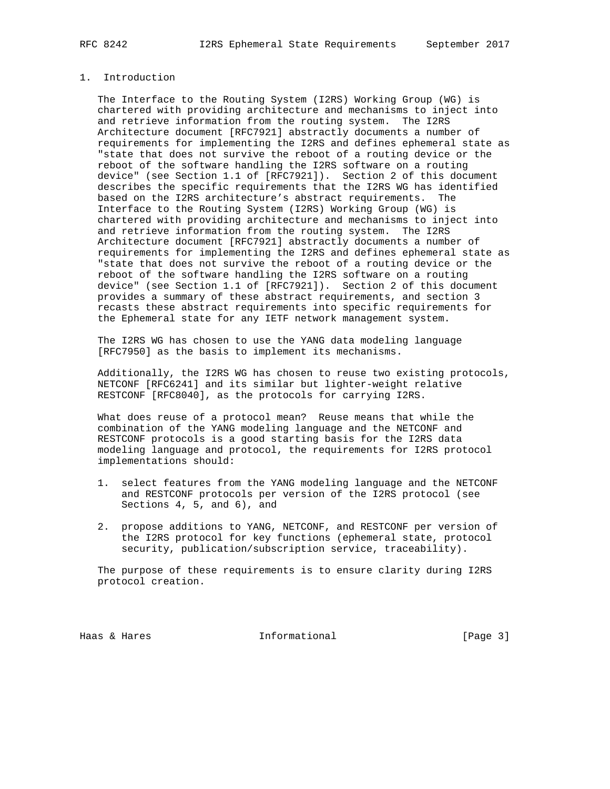## 1. Introduction

 The Interface to the Routing System (I2RS) Working Group (WG) is chartered with providing architecture and mechanisms to inject into and retrieve information from the routing system. The I2RS Architecture document [RFC7921] abstractly documents a number of requirements for implementing the I2RS and defines ephemeral state as "state that does not survive the reboot of a routing device or the reboot of the software handling the I2RS software on a routing device" (see Section 1.1 of [RFC7921]). Section 2 of this document describes the specific requirements that the I2RS WG has identified based on the I2RS architecture's abstract requirements. The Interface to the Routing System (I2RS) Working Group (WG) is chartered with providing architecture and mechanisms to inject into and retrieve information from the routing system. The I2RS Architecture document [RFC7921] abstractly documents a number of requirements for implementing the I2RS and defines ephemeral state as "state that does not survive the reboot of a routing device or the reboot of the software handling the I2RS software on a routing device" (see Section 1.1 of [RFC7921]). Section 2 of this document provides a summary of these abstract requirements, and section 3 recasts these abstract requirements into specific requirements for the Ephemeral state for any IETF network management system.

 The I2RS WG has chosen to use the YANG data modeling language [RFC7950] as the basis to implement its mechanisms.

 Additionally, the I2RS WG has chosen to reuse two existing protocols, NETCONF [RFC6241] and its similar but lighter-weight relative RESTCONF [RFC8040], as the protocols for carrying I2RS.

 What does reuse of a protocol mean? Reuse means that while the combination of the YANG modeling language and the NETCONF and RESTCONF protocols is a good starting basis for the I2RS data modeling language and protocol, the requirements for I2RS protocol implementations should:

- 1. select features from the YANG modeling language and the NETCONF and RESTCONF protocols per version of the I2RS protocol (see Sections 4, 5, and 6), and
- 2. propose additions to YANG, NETCONF, and RESTCONF per version of the I2RS protocol for key functions (ephemeral state, protocol security, publication/subscription service, traceability).

 The purpose of these requirements is to ensure clarity during I2RS protocol creation.

Haas & Hares Thformational Fage 3]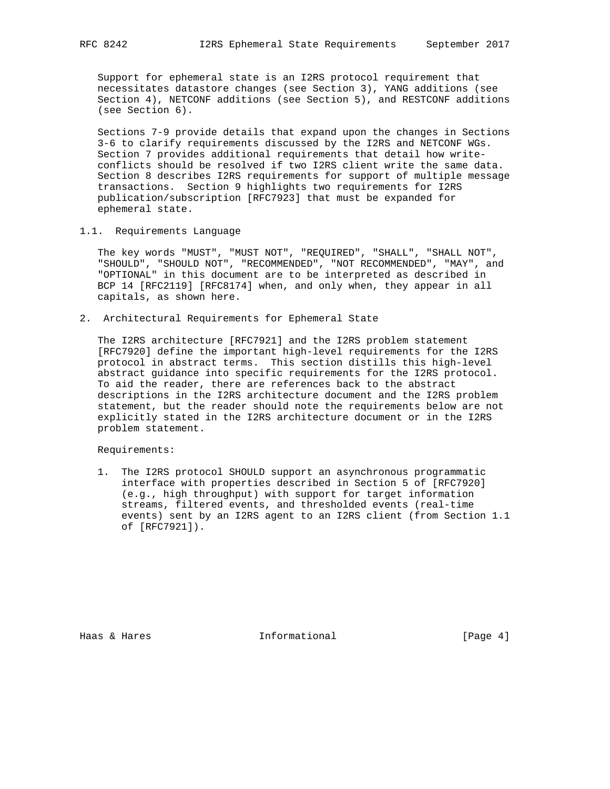Support for ephemeral state is an I2RS protocol requirement that necessitates datastore changes (see Section 3), YANG additions (see Section 4), NETCONF additions (see Section 5), and RESTCONF additions (see Section 6).

 Sections 7-9 provide details that expand upon the changes in Sections 3-6 to clarify requirements discussed by the I2RS and NETCONF WGs. Section 7 provides additional requirements that detail how write conflicts should be resolved if two I2RS client write the same data. Section 8 describes I2RS requirements for support of multiple message transactions. Section 9 highlights two requirements for I2RS publication/subscription [RFC7923] that must be expanded for ephemeral state.

1.1. Requirements Language

 The key words "MUST", "MUST NOT", "REQUIRED", "SHALL", "SHALL NOT", "SHOULD", "SHOULD NOT", "RECOMMENDED", "NOT RECOMMENDED", "MAY", and "OPTIONAL" in this document are to be interpreted as described in BCP 14 [RFC2119] [RFC8174] when, and only when, they appear in all capitals, as shown here.

2. Architectural Requirements for Ephemeral State

 The I2RS architecture [RFC7921] and the I2RS problem statement [RFC7920] define the important high-level requirements for the I2RS protocol in abstract terms. This section distills this high-level abstract guidance into specific requirements for the I2RS protocol. To aid the reader, there are references back to the abstract descriptions in the I2RS architecture document and the I2RS problem statement, but the reader should note the requirements below are not explicitly stated in the I2RS architecture document or in the I2RS problem statement.

Requirements:

 1. The I2RS protocol SHOULD support an asynchronous programmatic interface with properties described in Section 5 of [RFC7920] (e.g., high throughput) with support for target information streams, filtered events, and thresholded events (real-time events) sent by an I2RS agent to an I2RS client (from Section 1.1 of [RFC7921]).

Haas & Hares **Informational** [Page 4]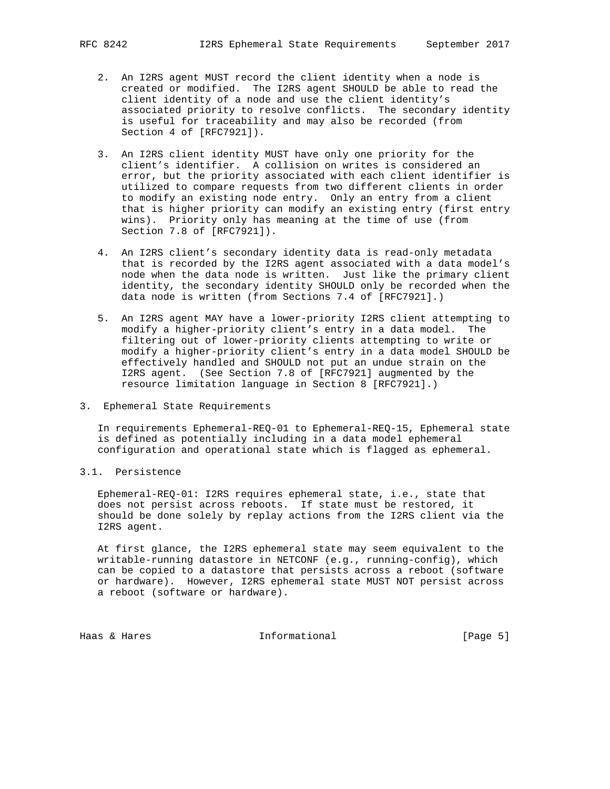- - 2. An I2RS agent MUST record the client identity when a node is created or modified. The I2RS agent SHOULD be able to read the client identity of a node and use the client identity's associated priority to resolve conflicts. The secondary identity is useful for traceability and may also be recorded (from Section 4 of [RFC7921]).
	- 3. An I2RS client identity MUST have only one priority for the client's identifier. A collision on writes is considered an error, but the priority associated with each client identifier is utilized to compare requests from two different clients in order to modify an existing node entry. Only an entry from a client that is higher priority can modify an existing entry (first entry wins). Priority only has meaning at the time of use (from Section 7.8 of [RFC7921]).
	- 4. An I2RS client's secondary identity data is read-only metadata that is recorded by the I2RS agent associated with a data model's node when the data node is written. Just like the primary client identity, the secondary identity SHOULD only be recorded when the data node is written (from Sections 7.4 of [RFC7921].)
	- 5. An I2RS agent MAY have a lower-priority I2RS client attempting to modify a higher-priority client's entry in a data model. The filtering out of lower-priority clients attempting to write or modify a higher-priority client's entry in a data model SHOULD be effectively handled and SHOULD not put an undue strain on the I2RS agent. (See Section 7.8 of [RFC7921] augmented by the resource limitation language in Section 8 [RFC7921].)
- 3. Ephemeral State Requirements

 In requirements Ephemeral-REQ-01 to Ephemeral-REQ-15, Ephemeral state is defined as potentially including in a data model ephemeral configuration and operational state which is flagged as ephemeral.

3.1. Persistence

 Ephemeral-REQ-01: I2RS requires ephemeral state, i.e., state that does not persist across reboots. If state must be restored, it should be done solely by replay actions from the I2RS client via the I2RS agent.

 At first glance, the I2RS ephemeral state may seem equivalent to the writable-running datastore in NETCONF (e.g., running-config), which can be copied to a datastore that persists across a reboot (software or hardware). However, I2RS ephemeral state MUST NOT persist across a reboot (software or hardware).

Haas & Hares Thermational Theorem [Page 5]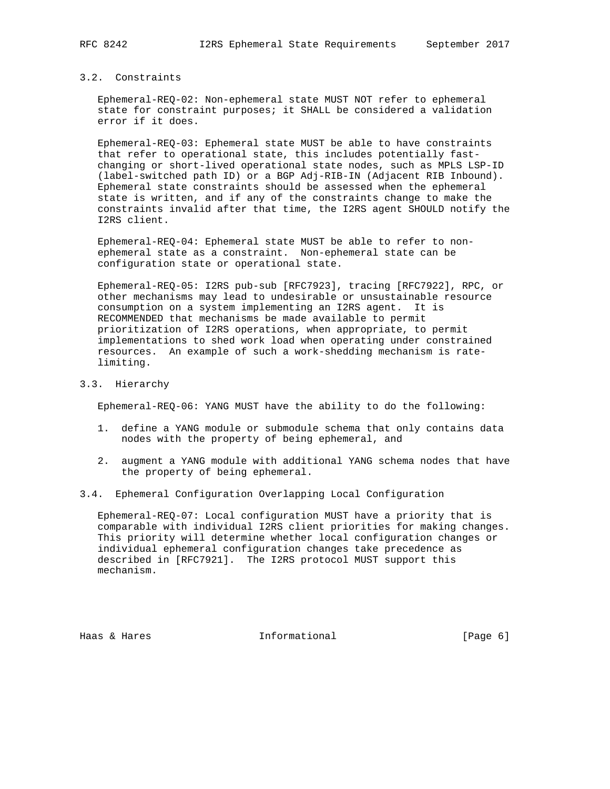# 3.2. Constraints

 Ephemeral-REQ-02: Non-ephemeral state MUST NOT refer to ephemeral state for constraint purposes; it SHALL be considered a validation error if it does.

 Ephemeral-REQ-03: Ephemeral state MUST be able to have constraints that refer to operational state, this includes potentially fast changing or short-lived operational state nodes, such as MPLS LSP-ID (label-switched path ID) or a BGP Adj-RIB-IN (Adjacent RIB Inbound). Ephemeral state constraints should be assessed when the ephemeral state is written, and if any of the constraints change to make the constraints invalid after that time, the I2RS agent SHOULD notify the I2RS client.

 Ephemeral-REQ-04: Ephemeral state MUST be able to refer to non ephemeral state as a constraint. Non-ephemeral state can be configuration state or operational state.

 Ephemeral-REQ-05: I2RS pub-sub [RFC7923], tracing [RFC7922], RPC, or other mechanisms may lead to undesirable or unsustainable resource consumption on a system implementing an I2RS agent. It is RECOMMENDED that mechanisms be made available to permit prioritization of I2RS operations, when appropriate, to permit implementations to shed work load when operating under constrained resources. An example of such a work-shedding mechanism is rate limiting.

### 3.3. Hierarchy

Ephemeral-REQ-06: YANG MUST have the ability to do the following:

- 1. define a YANG module or submodule schema that only contains data nodes with the property of being ephemeral, and
- 2. augment a YANG module with additional YANG schema nodes that have the property of being ephemeral.
- 3.4. Ephemeral Configuration Overlapping Local Configuration

 Ephemeral-REQ-07: Local configuration MUST have a priority that is comparable with individual I2RS client priorities for making changes. This priority will determine whether local configuration changes or individual ephemeral configuration changes take precedence as described in [RFC7921]. The I2RS protocol MUST support this mechanism.

Haas & Hares Theormational France (Page 6)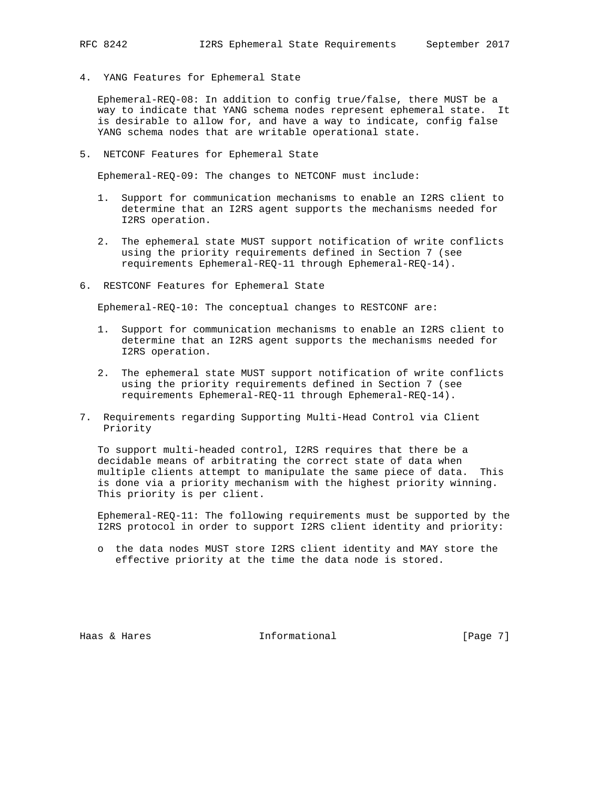4. YANG Features for Ephemeral State

 Ephemeral-REQ-08: In addition to config true/false, there MUST be a way to indicate that YANG schema nodes represent ephemeral state. It is desirable to allow for, and have a way to indicate, config false YANG schema nodes that are writable operational state.

5. NETCONF Features for Ephemeral State

Ephemeral-REQ-09: The changes to NETCONF must include:

- 1. Support for communication mechanisms to enable an I2RS client to determine that an I2RS agent supports the mechanisms needed for I2RS operation.
- 2. The ephemeral state MUST support notification of write conflicts using the priority requirements defined in Section 7 (see requirements Ephemeral-REQ-11 through Ephemeral-REQ-14).
- 6. RESTCONF Features for Ephemeral State

Ephemeral-REQ-10: The conceptual changes to RESTCONF are:

- 1. Support for communication mechanisms to enable an I2RS client to determine that an I2RS agent supports the mechanisms needed for I2RS operation.
- 2. The ephemeral state MUST support notification of write conflicts using the priority requirements defined in Section 7 (see requirements Ephemeral-REQ-11 through Ephemeral-REQ-14).
- 7. Requirements regarding Supporting Multi-Head Control via Client Priority

 To support multi-headed control, I2RS requires that there be a decidable means of arbitrating the correct state of data when multiple clients attempt to manipulate the same piece of data. This is done via a priority mechanism with the highest priority winning. This priority is per client.

 Ephemeral-REQ-11: The following requirements must be supported by the I2RS protocol in order to support I2RS client identity and priority:

 o the data nodes MUST store I2RS client identity and MAY store the effective priority at the time the data node is stored.

Haas & Hares Thformational Fage 7]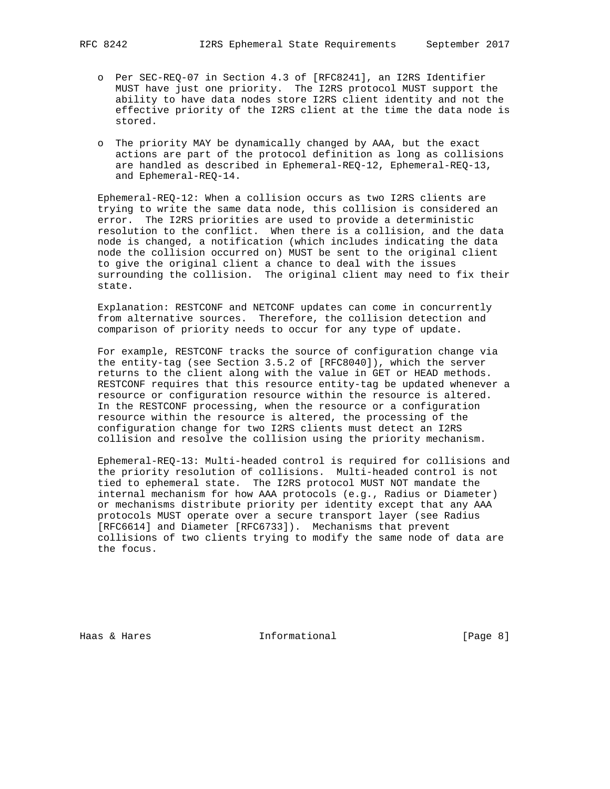- o Per SEC-REQ-07 in Section 4.3 of [RFC8241], an I2RS Identifier MUST have just one priority. The I2RS protocol MUST support the ability to have data nodes store I2RS client identity and not the effective priority of the I2RS client at the time the data node is stored.
- o The priority MAY be dynamically changed by AAA, but the exact actions are part of the protocol definition as long as collisions are handled as described in Ephemeral-REQ-12, Ephemeral-REQ-13, and Ephemeral-REQ-14.

 Ephemeral-REQ-12: When a collision occurs as two I2RS clients are trying to write the same data node, this collision is considered an error. The I2RS priorities are used to provide a deterministic resolution to the conflict. When there is a collision, and the data node is changed, a notification (which includes indicating the data node the collision occurred on) MUST be sent to the original client to give the original client a chance to deal with the issues surrounding the collision. The original client may need to fix their state.

 Explanation: RESTCONF and NETCONF updates can come in concurrently from alternative sources. Therefore, the collision detection and comparison of priority needs to occur for any type of update.

 For example, RESTCONF tracks the source of configuration change via the entity-tag (see Section 3.5.2 of [RFC8040]), which the server returns to the client along with the value in GET or HEAD methods. RESTCONF requires that this resource entity-tag be updated whenever a resource or configuration resource within the resource is altered. In the RESTCONF processing, when the resource or a configuration resource within the resource is altered, the processing of the configuration change for two I2RS clients must detect an I2RS collision and resolve the collision using the priority mechanism.

 Ephemeral-REQ-13: Multi-headed control is required for collisions and the priority resolution of collisions. Multi-headed control is not tied to ephemeral state. The I2RS protocol MUST NOT mandate the internal mechanism for how AAA protocols (e.g., Radius or Diameter) or mechanisms distribute priority per identity except that any AAA protocols MUST operate over a secure transport layer (see Radius [RFC6614] and Diameter [RFC6733]). Mechanisms that prevent collisions of two clients trying to modify the same node of data are the focus.

Haas & Hares **Informational** [Page 8]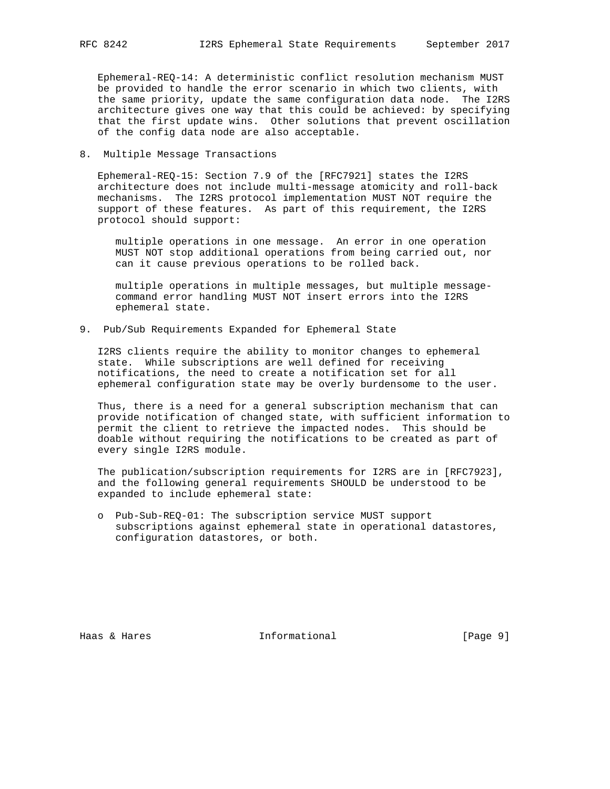Ephemeral-REQ-14: A deterministic conflict resolution mechanism MUST be provided to handle the error scenario in which two clients, with the same priority, update the same configuration data node. The I2RS architecture gives one way that this could be achieved: by specifying that the first update wins. Other solutions that prevent oscillation of the config data node are also acceptable.

8. Multiple Message Transactions

 Ephemeral-REQ-15: Section 7.9 of the [RFC7921] states the I2RS architecture does not include multi-message atomicity and roll-back mechanisms. The I2RS protocol implementation MUST NOT require the support of these features. As part of this requirement, the I2RS protocol should support:

 multiple operations in one message. An error in one operation MUST NOT stop additional operations from being carried out, nor can it cause previous operations to be rolled back.

 multiple operations in multiple messages, but multiple message command error handling MUST NOT insert errors into the I2RS ephemeral state.

9. Pub/Sub Requirements Expanded for Ephemeral State

 I2RS clients require the ability to monitor changes to ephemeral state. While subscriptions are well defined for receiving notifications, the need to create a notification set for all ephemeral configuration state may be overly burdensome to the user.

 Thus, there is a need for a general subscription mechanism that can provide notification of changed state, with sufficient information to permit the client to retrieve the impacted nodes. This should be doable without requiring the notifications to be created as part of every single I2RS module.

 The publication/subscription requirements for I2RS are in [RFC7923], and the following general requirements SHOULD be understood to be expanded to include ephemeral state:

 o Pub-Sub-REQ-01: The subscription service MUST support subscriptions against ephemeral state in operational datastores, configuration datastores, or both.

Haas & Hares Thermational Theorem (Page 9)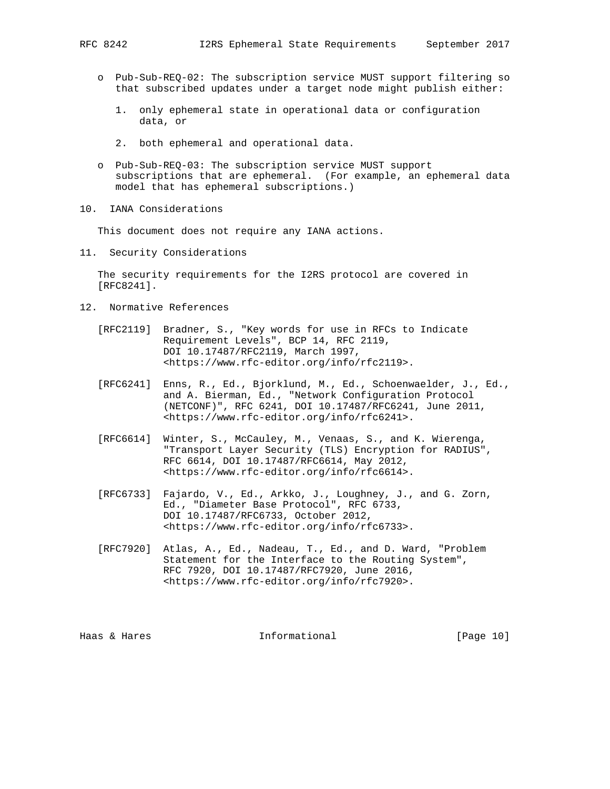- o Pub-Sub-REQ-02: The subscription service MUST support filtering so that subscribed updates under a target node might publish either:
	- 1. only ephemeral state in operational data or configuration data, or
	- 2. both ephemeral and operational data.
- o Pub-Sub-REQ-03: The subscription service MUST support subscriptions that are ephemeral. (For example, an ephemeral data model that has ephemeral subscriptions.)
- 10. IANA Considerations

This document does not require any IANA actions.

11. Security Considerations

 The security requirements for the I2RS protocol are covered in [RFC8241].

- 12. Normative References
	- [RFC2119] Bradner, S., "Key words for use in RFCs to Indicate Requirement Levels", BCP 14, RFC 2119, DOI 10.17487/RFC2119, March 1997, <https://www.rfc-editor.org/info/rfc2119>.
	- [RFC6241] Enns, R., Ed., Bjorklund, M., Ed., Schoenwaelder, J., Ed., and A. Bierman, Ed., "Network Configuration Protocol (NETCONF)", RFC 6241, DOI 10.17487/RFC6241, June 2011, <https://www.rfc-editor.org/info/rfc6241>.
	- [RFC6614] Winter, S., McCauley, M., Venaas, S., and K. Wierenga, "Transport Layer Security (TLS) Encryption for RADIUS", RFC 6614, DOI 10.17487/RFC6614, May 2012, <https://www.rfc-editor.org/info/rfc6614>.
	- [RFC6733] Fajardo, V., Ed., Arkko, J., Loughney, J., and G. Zorn, Ed., "Diameter Base Protocol", RFC 6733, DOI 10.17487/RFC6733, October 2012, <https://www.rfc-editor.org/info/rfc6733>.
	- [RFC7920] Atlas, A., Ed., Nadeau, T., Ed., and D. Ward, "Problem Statement for the Interface to the Routing System", RFC 7920, DOI 10.17487/RFC7920, June 2016, <https://www.rfc-editor.org/info/rfc7920>.

Haas & Hares **Informational** [Page 10]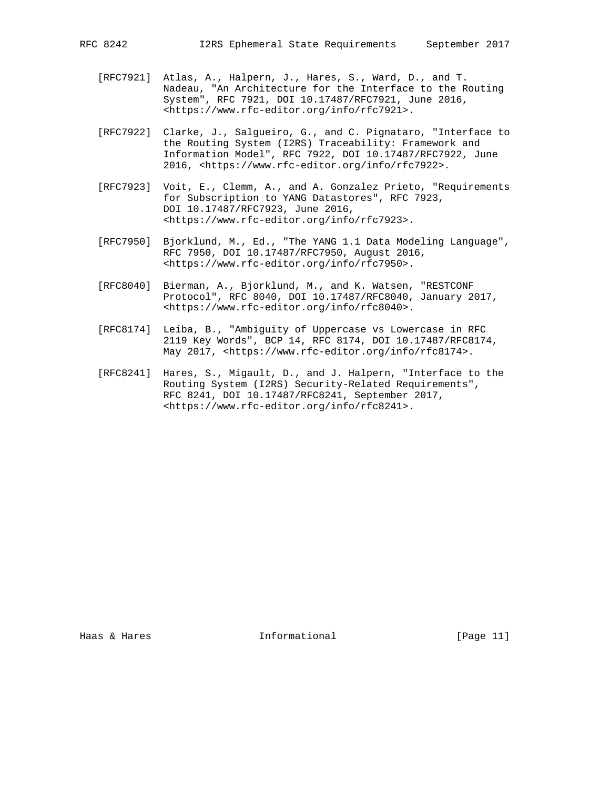- [RFC7921] Atlas, A., Halpern, J., Hares, S., Ward, D., and T. Nadeau, "An Architecture for the Interface to the Routing System", RFC 7921, DOI 10.17487/RFC7921, June 2016, <https://www.rfc-editor.org/info/rfc7921>.
	- [RFC7922] Clarke, J., Salgueiro, G., and C. Pignataro, "Interface to the Routing System (I2RS) Traceability: Framework and Information Model", RFC 7922, DOI 10.17487/RFC7922, June 2016, <https://www.rfc-editor.org/info/rfc7922>.
	- [RFC7923] Voit, E., Clemm, A., and A. Gonzalez Prieto, "Requirements for Subscription to YANG Datastores", RFC 7923, DOI 10.17487/RFC7923, June 2016, <https://www.rfc-editor.org/info/rfc7923>.
	- [RFC7950] Bjorklund, M., Ed., "The YANG 1.1 Data Modeling Language", RFC 7950, DOI 10.17487/RFC7950, August 2016, <https://www.rfc-editor.org/info/rfc7950>.
	- [RFC8040] Bierman, A., Bjorklund, M., and K. Watsen, "RESTCONF Protocol", RFC 8040, DOI 10.17487/RFC8040, January 2017, <https://www.rfc-editor.org/info/rfc8040>.
	- [RFC8174] Leiba, B., "Ambiguity of Uppercase vs Lowercase in RFC 2119 Key Words", BCP 14, RFC 8174, DOI 10.17487/RFC8174, May 2017, <https://www.rfc-editor.org/info/rfc8174>.
	- [RFC8241] Hares, S., Migault, D., and J. Halpern, "Interface to the Routing System (I2RS) Security-Related Requirements", RFC 8241, DOI 10.17487/RFC8241, September 2017, <https://www.rfc-editor.org/info/rfc8241>.

Haas & Hares Thformational [Page 11]